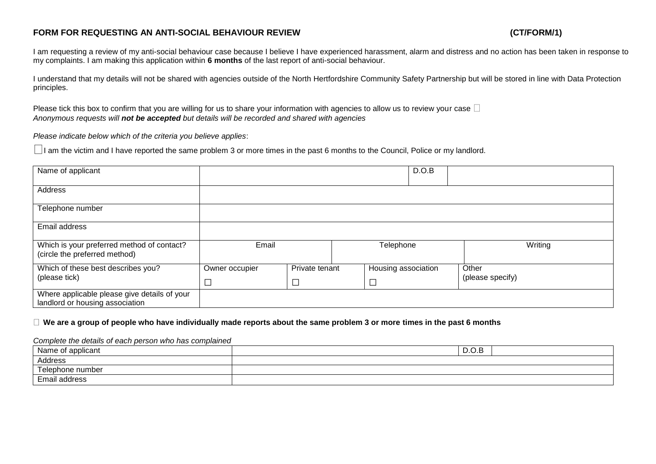# **FORM FOR REQUESTING AN ANTI-SOCIAL BEHAVIOUR REVIEW (CT/FORM/1)**

I am requesting a review of my anti-social behaviour case because I believe I have experienced harassment, alarm and distress and no action has been taken in response to my complaints. I am making this application within **6 months** of the last report of anti-social behaviour.

I understand that my details will not be shared with agencies outside of the North Hertfordshire Community Safety Partnership but will be stored in line with Data Protection principles.

Please tick this box to confirm that you are willing for us to share your information with agencies to allow us to review your case  $\Box$ *Anonymous requests will not be accepted but details will be recorded and shared with agencies*

*Please indicate below which of the criteria you believe applies*:

 $\Box$ I am the victim and I have reported the same problem 3 or more times in the past 6 months to the Council, Police or my landlord.

| Name of applicant                                                               |                    |                |                     | D.O.B   |                  |
|---------------------------------------------------------------------------------|--------------------|----------------|---------------------|---------|------------------|
| Address                                                                         |                    |                |                     |         |                  |
| Telephone number                                                                |                    |                |                     |         |                  |
| Email address                                                                   |                    |                |                     |         |                  |
| Which is your preferred method of contact?<br>(circle the preferred method)     | Email<br>Telephone |                |                     | Writing |                  |
| Which of these best describes you?                                              | Owner occupier     | Private tenant | Housing association |         | Other            |
| (please tick)                                                                   | $\Box$             |                |                     |         | (please specify) |
| Where applicable please give details of your<br>landlord or housing association |                    |                |                     |         |                  |

## **We are a group of people who have individually made reports about the same problem 3 or more times in the past 6 months**

### *Complete the details of each person who has complained*

| Name of applicant | D.O.B |
|-------------------|-------|
| Address           |       |
| Telephone number  |       |
| Email address     |       |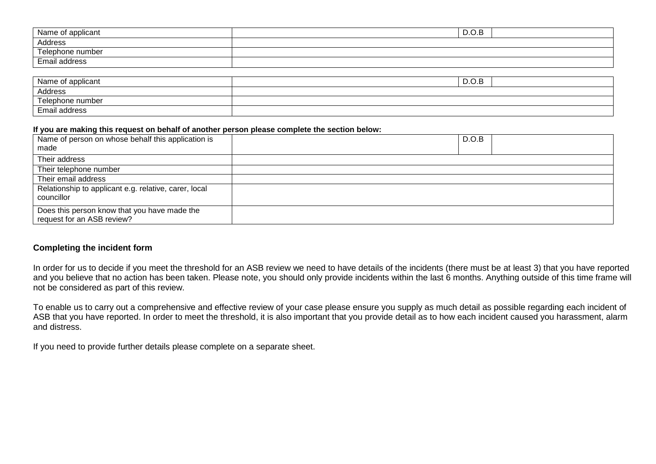| Name of applicant | D.O.B |  |
|-------------------|-------|--|
| Address           |       |  |
| Telephone number  |       |  |
| Email address     |       |  |

| Name of applicant | D.O.B |
|-------------------|-------|
| Address           |       |
| Telephone number  |       |
| Email address     |       |

## **If you are making this request on behalf of another person please complete the section below:**

| Name of person on whose behalf this application is<br>made                 | D.O.B |
|----------------------------------------------------------------------------|-------|
| Their address                                                              |       |
| Their telephone number                                                     |       |
| Their email address                                                        |       |
| Relationship to applicant e.g. relative, carer, local<br>councillor        |       |
| Does this person know that you have made the<br>request for an ASB review? |       |

# **Completing the incident form**

In order for us to decide if you meet the threshold for an ASB review we need to have details of the incidents (there must be at least 3) that you have reported and you believe that no action has been taken. Please note, you should only provide incidents within the last 6 months. Anything outside of this time frame will not be considered as part of this review.

To enable us to carry out a comprehensive and effective review of your case please ensure you supply as much detail as possible regarding each incident of ASB that you have reported. In order to meet the threshold, it is also important that you provide detail as to how each incident caused you harassment, alarm and distress.

If you need to provide further details please complete on a separate sheet.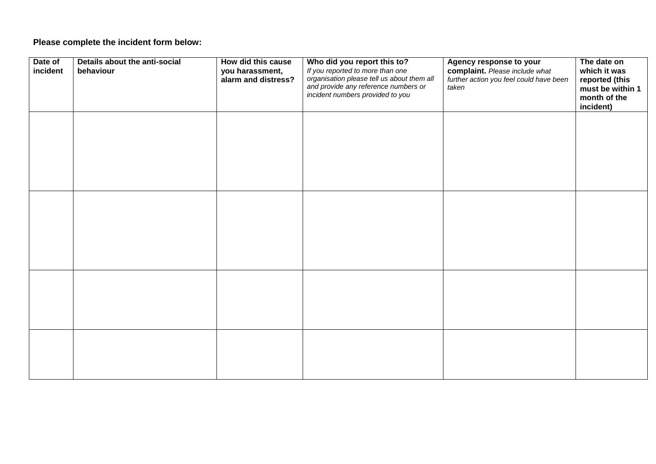# **Please complete the incident form below:**

| Date of<br>incident | Details about the anti-social<br>behaviour | How did this cause<br>you harassment,<br>alarm and distress? | Who did you report this to?<br>If you reported to more than one<br>organisation please tell us about them all<br>and provide any reference numbers or<br>incident numbers provided to you | Agency response to your<br>complaint. Please include what<br>further action you feel could have been<br>taken | The date on<br>which it was<br>reported (this<br>must be within 1<br>month of the<br>incident) |
|---------------------|--------------------------------------------|--------------------------------------------------------------|-------------------------------------------------------------------------------------------------------------------------------------------------------------------------------------------|---------------------------------------------------------------------------------------------------------------|------------------------------------------------------------------------------------------------|
|                     |                                            |                                                              |                                                                                                                                                                                           |                                                                                                               |                                                                                                |
|                     |                                            |                                                              |                                                                                                                                                                                           |                                                                                                               |                                                                                                |
|                     |                                            |                                                              |                                                                                                                                                                                           |                                                                                                               |                                                                                                |
|                     |                                            |                                                              |                                                                                                                                                                                           |                                                                                                               |                                                                                                |
|                     |                                            |                                                              |                                                                                                                                                                                           |                                                                                                               |                                                                                                |
|                     |                                            |                                                              |                                                                                                                                                                                           |                                                                                                               |                                                                                                |
|                     |                                            |                                                              |                                                                                                                                                                                           |                                                                                                               |                                                                                                |